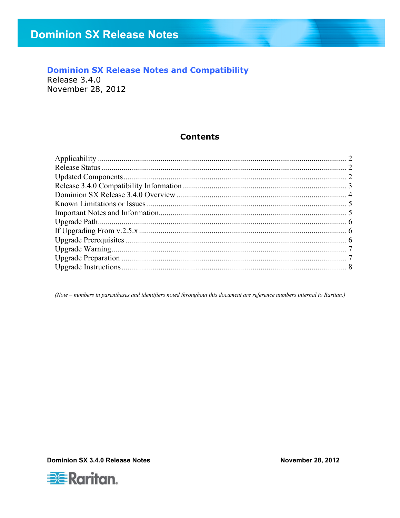### **Dominion SX Release Notes and Compatibility**

Release 3.4.0 November 28, 2012

#### **Contents**

(Note - numbers in parentheses and identifiers noted throughout this document are reference numbers internal to Raritan.)

Dominion SX 3.4.0 Release Notes



**November 28, 2012**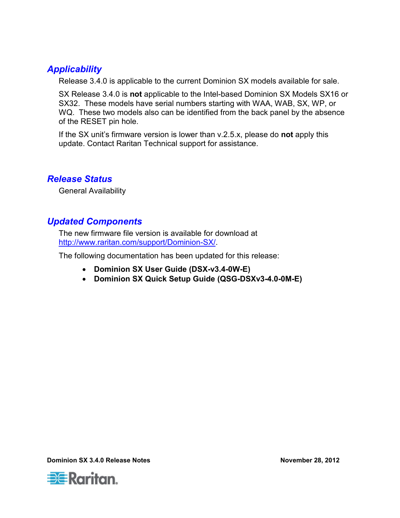## *Applicability*

Release 3.4.0 is applicable to the current Dominion SX models available for sale.

SX Release 3.4.0 is **not** applicable to the Intel-based Dominion SX Models SX16 or SX32. These models have serial numbers starting with WAA, WAB, SX, WP, or WQ. These two models also can be identified from the back panel by the absence of the RESET pin hole.

If the SX unit's firmware version is lower than v.2.5.x, please do **not** apply this update. Contact Raritan Technical support for assistance.

## *Release Status*

General Availability

## *Updated Components*

The new firmware file version is available for download at http://www.raritan.com/support/Dominion-SX/.

The following documentation has been updated for this release:

- **Dominion SX User Guide (DSX-v3.4-0W-E)**
- **Dominion SX Quick Setup Guide (QSG-DSXv3-4.0-0M-E)**

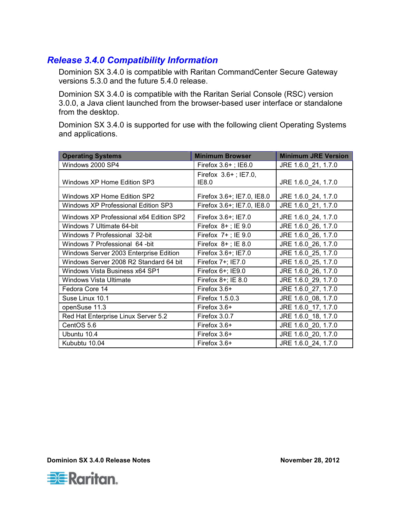## *Release 3.4.0 Compatibility Information*

Dominion SX 3.4.0 is compatible with Raritan CommandCenter Secure Gateway versions 5.3.0 and the future 5.4.0 release.

Dominion SX 3.4.0 is compatible with the Raritan Serial Console (RSC) version 3.0.0, a Java client launched from the browser-based user interface or standalone from the desktop.

Dominion SX 3.4.0 is supported for use with the following client Operating Systems and applications.

| <b>Operating Systems</b>                | <b>Minimum Browser</b>           | <b>Minimum JRE Version</b> |
|-----------------------------------------|----------------------------------|----------------------------|
| Windows 2000 SP4                        | Firefox 3.6+; IE6.0              | JRE 1.6.0 21, 1.7.0        |
| Windows XP Home Edition SP3             | Firefox $3.6+$ ; IE7.0,<br>IE8.0 | JRE 1.6.0 24, 1.7.0        |
| Windows XP Home Edition SP2             | Firefox 3.6+; IE7.0, IE8.0       | JRE 1.6.0_24, 1.7.0        |
| Windows XP Professional Edition SP3     | Firefox 3.6+; IE7.0, IE8.0       | JRE 1.6.0_21, 1.7.0        |
| Windows XP Professional x64 Edition SP2 | Firefox 3.6+; IE7.0              | JRE 1.6.0_24, 1.7.0        |
| Windows 7 Ultimate 64-bit               | Firefox $8+$ ; IE 9.0            | JRE 1.6.0_26, 1.7.0        |
| Windows 7 Professional 32-bit           | Firefox $7+$ ; IE 9.0            | JRE 1.6.0_26, 1.7.0        |
| Windows 7 Professional 64 -bit          | Firefox $8+$ ; IE 8.0            | JRE 1.6.0 26, 1.7.0        |
| Windows Server 2003 Enterprise Edition  | Firefox 3.6+; IE7.0              | JRE 1.6.0 25, 1.7.0        |
| Windows Server 2008 R2 Standard 64 bit  | Firefox 7+; IE7.0                | JRE 1.6.0_25, 1.7.0        |
| Windows Vista Business x64 SP1          | Firefox 6+; IE9.0                | JRE 1.6.0_26, 1.7.0        |
| Windows Vista Ultimate                  | Firefox 8+; IE 8.0               | JRE 1.6.0_29, 1.7.0        |
| Fedora Core 14                          | Firefox 3.6+                     | JRE 1.6.0_27, 1.7.0        |
| Suse Linux 10.1                         | Firefox 1.5.0.3                  | JRE 1.6.0_08, 1.7.0        |
| openSuse 11.3                           | Firefox 3.6+                     | JRE 1.6.0 17, 1.7.0        |
| Red Hat Enterprise Linux Server 5.2     | Firefox 3.0.7                    | JRE 1.6.0_18, 1.7.0        |
| CentOS 5.6                              | Firefox 3.6+                     | JRE 1.6.0_20, 1.7.0        |
| Ubuntu 10.4                             | Firefox 3.6+                     | JRE 1.6.0 20, 1.7.0        |
| Kububtu 10.04                           | Firefox 3.6+                     | JRE 1.6.0 24, 1.7.0        |

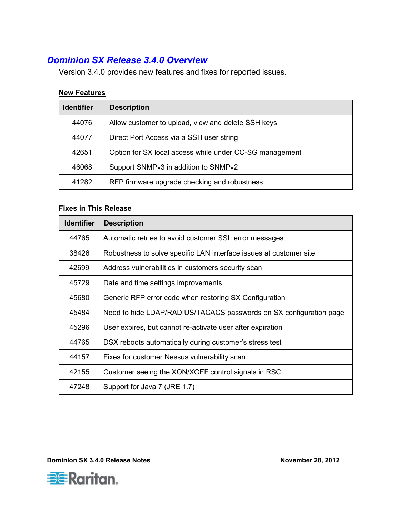# *Dominion SX Release 3.4.0 Overview*

Version 3.4.0 provides new features and fixes for reported issues.

#### **New Features**

| <b>Identifier</b> | <b>Description</b>                                      |
|-------------------|---------------------------------------------------------|
| 44076             | Allow customer to upload, view and delete SSH keys      |
| 44077             | Direct Port Access via a SSH user string                |
| 42651             | Option for SX local access while under CC-SG management |
| 46068             | Support SNMPv3 in addition to SNMPv2                    |
| 41282             | RFP firmware upgrade checking and robustness            |

### **Fixes in This Release**

| <b>Identifier</b> | <b>Description</b>                                                 |
|-------------------|--------------------------------------------------------------------|
| 44765             | Automatic retries to avoid customer SSL error messages             |
| 38426             | Robustness to solve specific LAN Interface issues at customer site |
| 42699             | Address vulnerabilities in customers security scan                 |
| 45729             | Date and time settings improvements                                |
| 45680             | Generic RFP error code when restoring SX Configuration             |
| 45484             | Need to hide LDAP/RADIUS/TACACS passwords on SX configuration page |
| 45296             | User expires, but cannot re-activate user after expiration         |
| 44765             | DSX reboots automatically during customer's stress test            |
| 44157             | Fixes for customer Nessus vulnerability scan                       |
| 42155             | Customer seeing the XON/XOFF control signals in RSC                |
| 47248             | Support for Java 7 (JRE 1.7)                                       |

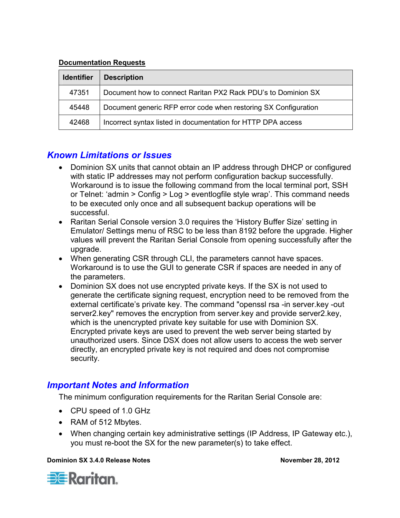#### **Documentation Requests**

| <b>Identifier</b> | <b>Description</b>                                              |
|-------------------|-----------------------------------------------------------------|
| 47351             | Document how to connect Raritan PX2 Rack PDU's to Dominion SX   |
| 45448             | Document generic RFP error code when restoring SX Configuration |
| 42468             | Incorrect syntax listed in documentation for HTTP DPA access    |

### *Known Limitations or Issues*

- Dominion SX units that cannot obtain an IP address through DHCP or configured with static IP addresses may not perform configuration backup successfully. Workaround is to issue the following command from the local terminal port, SSH or Telnet: 'admin > Config > Log > eventlogfile style wrap'. This command needs to be executed only once and all subsequent backup operations will be successful.
- Raritan Serial Console version 3.0 requires the 'History Buffer Size' setting in Emulator/ Settings menu of RSC to be less than 8192 before the upgrade. Higher values will prevent the Raritan Serial Console from opening successfully after the upgrade.
- When generating CSR through CLI, the parameters cannot have spaces. Workaround is to use the GUI to generate CSR if spaces are needed in any of the parameters.
- Dominion SX does not use encrypted private keys. If the SX is not used to generate the certificate signing request, encryption need to be removed from the external certificate's private key. The command "openssl rsa -in server.key -out server2.key" removes the encryption from server.key and provide server2.key, which is the unencrypted private key suitable for use with Dominion SX. Encrypted private keys are used to prevent the web server being started by unauthorized users. Since DSX does not allow users to access the web server directly, an encrypted private key is not required and does not compromise security.

### *Important Notes and Information*

The minimum configuration requirements for the Raritan Serial Console are:

- CPU speed of 1.0 GHz
- RAM of 512 Mbytes.
- When changing certain key administrative settings (IP Address, IP Gateway etc.), you must re-boot the SX for the new parameter(s) to take effect.



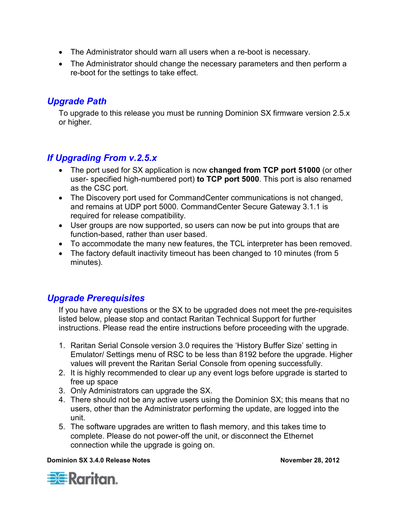- The Administrator should warn all users when a re-boot is necessary.
- The Administrator should change the necessary parameters and then perform a re-boot for the settings to take effect.

### *Upgrade Path*

To upgrade to this release you must be running Dominion SX firmware version 2.5.x or higher.

## *If Upgrading From v.2.5.x*

- The port used for SX application is now **changed from TCP port 51000** (or other user- specified high-numbered port) **to TCP port 5000**. This port is also renamed as the CSC port.
- The Discovery port used for CommandCenter communications is not changed, and remains at UDP port 5000. CommandCenter Secure Gateway 3.1.1 is required for release compatibility.
- User groups are now supported, so users can now be put into groups that are function-based, rather than user based.
- To accommodate the many new features, the TCL interpreter has been removed.
- The factory default inactivity timeout has been changed to 10 minutes (from 5 minutes).

## *Upgrade Prerequisites*

If you have any questions or the SX to be upgraded does not meet the pre-requisites listed below, please stop and contact Raritan Technical Support for further instructions. Please read the entire instructions before proceeding with the upgrade.

- 1. Raritan Serial Console version 3.0 requires the 'History Buffer Size' setting in Emulator/ Settings menu of RSC to be less than 8192 before the upgrade. Higher values will prevent the Raritan Serial Console from opening successfully.
- 2. It is highly recommended to clear up any event logs before upgrade is started to free up space
- 3. Only Administrators can upgrade the SX.
- 4. There should not be any active users using the Dominion SX; this means that no users, other than the Administrator performing the update, are logged into the unit.
- 5. The software upgrades are written to flash memory, and this takes time to complete. Please do not power-off the unit, or disconnect the Ethernet connection while the upgrade is going on.

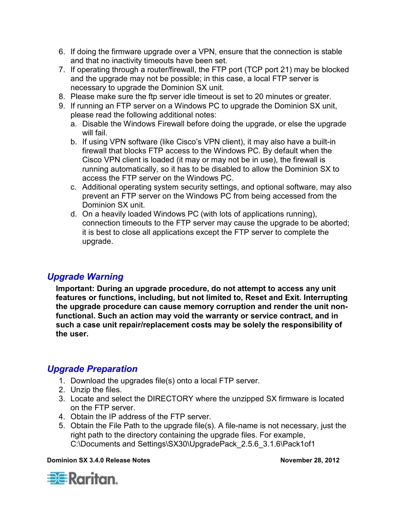- 6. If doing the firmware upgrade over a VPN, ensure that the connection is stable and that no inactivity timeouts have been set.
- 7. If operating through a router/firewall, the FTP port (TCP port 21) may be blocked and the upgrade may not be possible; in this case, a local FTP server is necessary to upgrade the Dominion SX unit.
- 8. Please make sure the ftp server idle timeout is set to 20 minutes or greater.
- 9. If running an FTP server on a Windows PC to upgrade the Dominion SX unit, please read the following additional notes:
	- a. Disable the Windows Firewall before doing the upgrade, or else the upgrade will fail.
	- b. If using VPN software (like Cisco's VPN client), it may also have a built-in firewall that blocks FTP access to the Windows PC. By default when the Cisco VPN client is loaded (it may or may not be in use), the firewall is running automatically, so it has to be disabled to allow the Dominion SX to access the FTP server on the Windows PC.
	- c. Additional operating system security settings, and optional software, may also prevent an FTP server on the Windows PC from being accessed from the Dominion SX unit.
	- d. On a heavily loaded Windows PC (with lots of applications running), connection timeouts to the FTP server may cause the upgrade to be aborted; it is best to close all applications except the FTP server to complete the upgrade.

## *Upgrade Warning*

**Important: During an upgrade procedure, do not attempt to access any unit features or functions, including, but not limited to, Reset and Exit. Interrupting the upgrade procedure can cause memory corruption and render the unit nonfunctional. Such an action may void the warranty or service contract, and in such a case unit repair/replacement costs may be solely the responsibility of the user.** 

## *Upgrade Preparation*

- 1. Download the upgrades file(s) onto a local FTP server.
- 2. Unzip the files.
- 3. Locate and select the DIRECTORY where the unzipped SX firmware is located on the FTP server.
- 4. Obtain the IP address of the FTP server.
- 5. Obtain the File Path to the upgrade file(s). A file-name is not necessary, just the right path to the directory containing the upgrade files. For example, C:\Documents and Settings\SX30\UpgradePack\_2.5.6\_3.1.6\Pack1of1

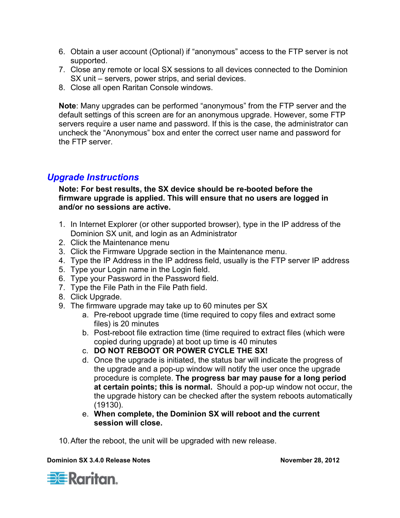- 6. Obtain a user account (Optional) if "anonymous" access to the FTP server is not supported.
- 7. Close any remote or local SX sessions to all devices connected to the Dominion SX unit – servers, power strips, and serial devices.
- 8. Close all open Raritan Console windows.

**Note**: Many upgrades can be performed "anonymous" from the FTP server and the default settings of this screen are for an anonymous upgrade. However, some FTP servers require a user name and password. If this is the case, the administrator can uncheck the "Anonymous" box and enter the correct user name and password for the FTP server.

### *Upgrade Instructions*

**Note: For best results, the SX device should be re-booted before the firmware upgrade is applied. This will ensure that no users are logged in and/or no sessions are active.** 

- 1. In Internet Explorer (or other supported browser), type in the IP address of the Dominion SX unit, and login as an Administrator
- 2. Click the Maintenance menu
- 3. Click the Firmware Upgrade section in the Maintenance menu.
- 4. Type the IP Address in the IP address field, usually is the FTP server IP address
- 5. Type your Login name in the Login field.
- 6. Type your Password in the Password field.
- 7. Type the File Path in the File Path field.
- 8. Click Upgrade.
- 9. The firmware upgrade may take up to 60 minutes per SX
	- a. Pre-reboot upgrade time (time required to copy files and extract some files) is 20 minutes
	- b. Post-reboot file extraction time (time required to extract files (which were copied during upgrade) at boot up time is 40 minutes
	- c. **DO NOT REBOOT OR POWER CYCLE THE SX!**
	- d. Once the upgrade is initiated, the status bar will indicate the progress of the upgrade and a pop-up window will notify the user once the upgrade procedure is complete. **The progress bar may pause for a long period at certain points; this is normal.** Should a pop-up window not occur, the the upgrade history can be checked after the system reboots automatically (19130).
	- e. **When complete, the Dominion SX will reboot and the current session will close.**

10. After the reboot, the unit will be upgraded with new release.